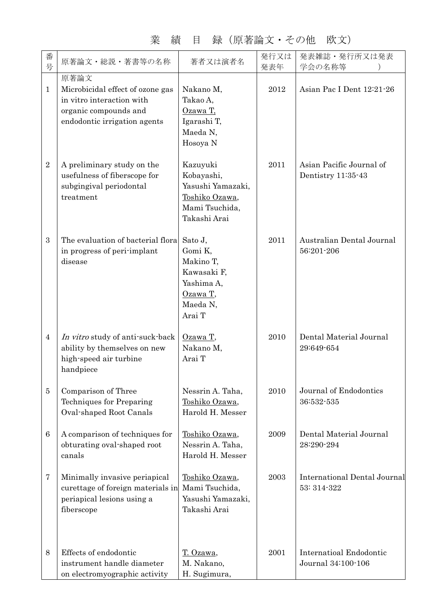| 塚<br>(尻者論乂・ての他<br>LXX X J<br>Ħ<br>旗<br>兲 |                   |             |                           |
|------------------------------------------|-------------------|-------------|---------------------------|
| 原著論文・総説・著書等の名称                           | 著者又は演者名           | 発行又は<br>発表年 | 発表雑誌・発行所又は発表<br>学会の名称等    |
| 原著論文                                     |                   |             |                           |
| Microbicidal effect of ozone gas         | Nakano M,         | 2012        | Asian Pac I Dent 12:21-26 |
| in vitro interaction with                | Takao A,          |             |                           |
| organic compounds and                    | Ozawa T,          |             |                           |
| endodontic irrigation agents             | Igarashi T,       |             |                           |
|                                          | Maeda N,          |             |                           |
|                                          | Hosoya N          |             |                           |
|                                          |                   |             |                           |
| A preliminary study on the               | Kazuyuki          | 2011        | Asian Pacific Journal of  |
| usefulness of fiberscope for             | Kobayashi,        |             | Dentistry $11:35-43$      |
| subgingival periodontal                  | Yasushi Yamazaki, |             |                           |
| treatment                                | Toshiko Ozawa,    |             |                           |
|                                          | Mami Tsuchida,    |             |                           |
|                                          | Takashi Arai      |             |                           |
|                                          |                   |             |                           |

業 績 目 録(原著論文・その他 欧文)

番 号

1

Ξ

|                 | endodontic irrigation agents                                                                                   | Igarashi T,<br>Maeda N,<br>Hosoya N                                                             |      |                                                      |
|-----------------|----------------------------------------------------------------------------------------------------------------|-------------------------------------------------------------------------------------------------|------|------------------------------------------------------|
| $\sqrt{2}$      | A preliminary study on the<br>usefulness of fiberscope for<br>subgingival periodontal<br>treatment             | Kazuyuki<br>Kobayashi,<br>Yasushi Yamazaki,<br>Toshiko Ozawa,<br>Mami Tsuchida,<br>Takashi Arai | 2011 | Asian Pacific Journal of<br>Dentistry 11:35-43       |
| 3               | The evaluation of bacterial flora<br>in progress of peri-implant<br>disease                                    | Sato J,<br>Gomi K,<br>Makino T,<br>Kawasaki F,<br>Yashima A,<br>Ozawa T,<br>Maeda N,<br>Arai T  | 2011 | Australian Dental Journal<br>56:201-206              |
| $\overline{4}$  | In vitro study of anti-suck-back<br>ability by themselves on new<br>high-speed air turbine<br>handpiece        | $Ozawa T$ ,<br>Nakano M,<br>Arai T                                                              | 2010 | Dental Material Journal<br>29:649-654                |
| $\bf 5$         | Comparison of Three<br>Techniques for Preparing<br>Oval-shaped Root Canals                                     | Nessrin A. Taha,<br>Toshiko Ozawa,<br>Harold H. Messer                                          | 2010 | Journal of Endodontics<br>36:532-535                 |
| $6\phantom{1}6$ | A comparison of techniques for<br>obturating oval shaped root<br>canals                                        | Toshiko Ozawa,<br>Nessrin A. Taha,<br>Harold H. Messer                                          | 2009 | Dental Material Journal<br>28:290-294                |
| 7               | Minimally invasive periapical<br>curettage of foreign materials in<br>periapical lesions using a<br>fiberscope | Toshiko Ozawa,<br>Mami Tsuchida,<br>Yasushi Yamazaki,<br>Takashi Arai                           | 2003 | International Dental Journal<br>53: 314-322          |
| 8               | Effects of endodontic<br>instrument handle diameter<br>on electromyographic activity                           | T. Ozawa,<br>M. Nakano,<br>H. Sugimura,                                                         | 2001 | <b>Internatioal Endodontic</b><br>Journal 34:100-106 |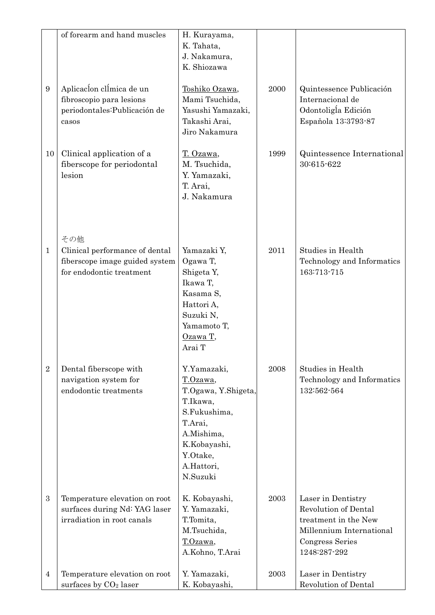|                  | of forearm and hand muscles                                                                         | H. Kurayama,<br>K. Tahata,<br>J. Nakamura,<br>K. Shiozawa                                                                                                 |      |                                                                                                                                          |
|------------------|-----------------------------------------------------------------------------------------------------|-----------------------------------------------------------------------------------------------------------------------------------------------------------|------|------------------------------------------------------------------------------------------------------------------------------------------|
| $\boldsymbol{9}$ | Aplicacion climica de un<br>fibroscopio para lesions<br>periodontales: Publicación de<br>casos      | Toshiko Ozawa,<br>Mami Tsuchida,<br>Yasushi Yamazaki,<br>Takashi Arai,<br>Jiro Nakamura                                                                   | 2000 | Quintessence Publicación<br>Internacional de<br>Odontoligía Edición<br>Española 13:3793-87                                               |
| 10               | Clinical application of a<br>fiberscope for periodontal<br>lesion                                   | T. Ozawa,<br>M. Tsuchida,<br>Y. Yamazaki,<br>T. Arai,<br>J. Nakamura                                                                                      | 1999 | Quintessence International<br>30:615-622                                                                                                 |
| $\mathbf{1}$     | その他<br>Clinical performance of dental<br>fiberscope image guided system<br>for endodontic treatment | Yamazaki Y,<br>Ogawa T,<br>Shigeta Y,<br>Ikawa T,<br>Kasama S,<br>Hattori A,<br>Suzuki N,<br>Yamamoto T,<br>Ozawa T,<br>Arai T                            | 2011 | Studies in Health<br>Technology and Informatics<br>163:713-715                                                                           |
| $\overline{2}$   | Dental fiberscope with<br>navigation system for<br>endodontic treatments                            | Y.Yamazaki,<br>T.Ozawa,<br>T.Ogawa, Y.Shigeta,<br>T.Ikawa,<br>S.Fukushima,<br>T.Arai,<br>A.Mishima,<br>K.Kobayashi,<br>Y.Otake,<br>A.Hattori,<br>N.Suzuki | 2008 | Studies in Health<br>Technology and Informatics<br>132:562-564                                                                           |
| $\boldsymbol{3}$ | Temperature elevation on root<br>surfaces during Nd: YAG laser<br>irradiation in root canals        | K. Kobayashi,<br>Y. Yamazaki,<br>T.Tomita,<br>M.Tsuchida,<br>T.Ozawa,<br>A.Kohno, T.Arai                                                                  | 2003 | Laser in Dentistry<br><b>Revolution of Dental</b><br>treatment in the New<br>Millennium International<br>Congress Series<br>1248:287-292 |
| $\overline{4}$   | Temperature elevation on root<br>surfaces by $CO2$ laser                                            | Y. Yamazaki,<br>K. Kobayashi,                                                                                                                             | 2003 | Laser in Dentistry<br><b>Revolution of Dental</b>                                                                                        |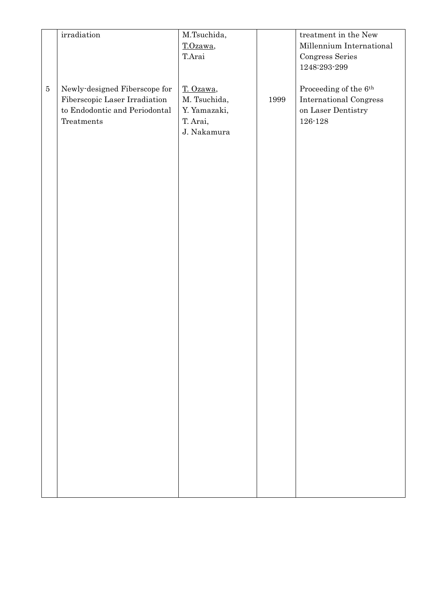|         | $\operatorname{irradiation}$                                                                                  | M.Tsuchida,<br>T.Ozawa,                                              |      | treatment in the New<br>Millennium International                                                     |
|---------|---------------------------------------------------------------------------------------------------------------|----------------------------------------------------------------------|------|------------------------------------------------------------------------------------------------------|
|         |                                                                                                               | T.Arai                                                               |      | Congress Series<br>$1248\mathord:293\mathord{\cdot}299$                                              |
| $\bf 5$ | Newly-designed Fiberscope for<br>Fiberscopic Laser Irradiation<br>to Endodontic and Periodontal<br>Treatments | T. Ozawa,<br>M. Tsuchida,<br>Y. Yamazaki,<br>T. Arai,<br>J. Nakamura | 1999 | Proceeding of the $6^{\rm th}$<br><b>International Congress</b><br>on Laser Dentistry<br>$126 - 128$ |
|         |                                                                                                               |                                                                      |      |                                                                                                      |
|         |                                                                                                               |                                                                      |      |                                                                                                      |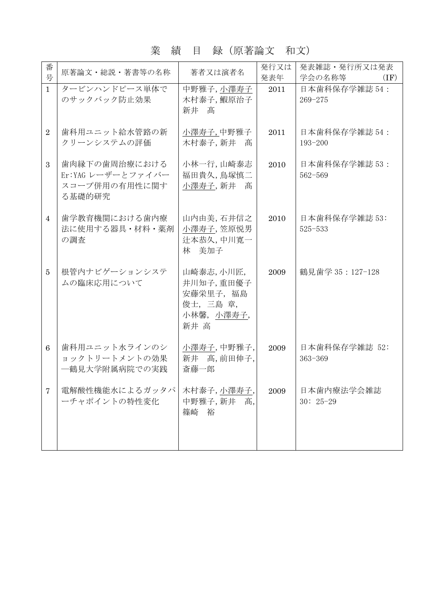#### 業 績 目 録(原著論文 和文)

| 番<br>号          | 原著論文・総説・著書等の名称                                                | 著者又は演者名                                                                | 発行又は<br>発表年 | 発表雑誌・発行所又は発表<br>学会の名称等<br>(IF) |
|-----------------|---------------------------------------------------------------|------------------------------------------------------------------------|-------------|--------------------------------|
| $\mathbf{1}$    | タービンハンドピース単体で<br>のサックバック防止効果                                  | 中野雅子,小澤寿子<br>木村泰子,鰕原治子<br>新井 髙                                         | 2011        | 日本歯科保存学雑誌 54:<br>$269 - 275$   |
| $\overline{2}$  | 歯科用ユニット給水管路の新<br>クリーンシステムの評価                                  | 小澤寿子,中野雅子<br>木村泰子, 新井 髙                                                | 2011        | 日本歯科保存学雑誌 54:<br>193-200       |
| 3               | 歯肉縁下の歯周治療における<br>Er:YAG レーザーとファイバー<br>スコープ併用の有用性に関す<br>る基礎的研究 | 小林一行,山崎泰志<br>福田貴久,鳥塚慎二<br>小澤寿子, 新井 髙                                   | 2010        | 日本歯科保存学雑誌 53:<br>562-569       |
| $\overline{4}$  | 歯学教育機関における歯内療<br>法に使用する器具・材料・薬剤<br>の調査                        | 山内由美,石井信之<br>小澤寿子,笠原悦男<br>辻本恭久,中川寛一<br>林 美加子                           | 2010        | 日本歯科保存学雑誌 53:<br>525-533       |
| 5               | 根管内ナビゲーションシステ<br>ムの臨床応用について                                   | 山崎泰志,小川匠,<br>井川知子,重田優子<br>安藤栄里子, 福島<br>俊士, 三島 章,<br>小林馨, 小澤寿子,<br>新井 高 | 2009        | 鶴見歯学 35:127-128                |
| $6\phantom{1}6$ | 歯科用ユニット水ラインのシ<br>ョックトリートメントの効果<br>一鶴見大学附属病院での実践               | 小澤寿子,中野雅子,<br>新井 髙, 前田伸子,<br>斎藤一郎                                      | 2009        | 日本歯科保存学雑誌 52:<br>$363 - 369$   |
| $\overline{7}$  | 電解酸性機能水によるガッタパ<br>ーチャポイントの特性変化                                | 木村泰子,小澤寿子,<br>中野雅子, 新井<br>髙.<br>篠崎<br>裕                                | 2009        | 日本歯内療法学会雑誌<br>$30:25-29$       |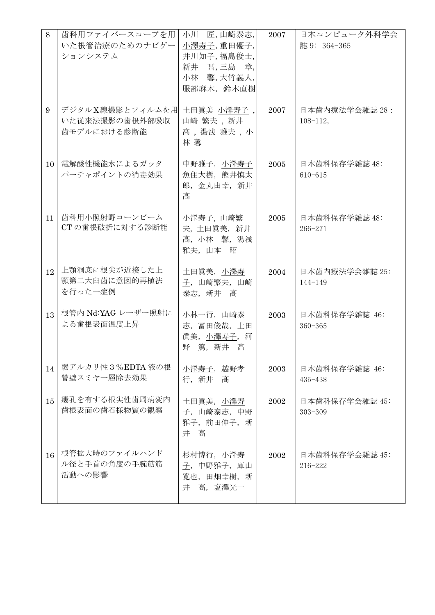| 8               | 歯科用ファイバースコープを用<br>いた根管治療のためのナビゲー<br>ションシステム      | 小川 匠,山崎泰志,<br>小澤寿子,重田優子,<br>井川知子,福島俊士,<br>新井 高,三島 章,<br>小林 馨,大竹義人,<br>服部麻木, 鈴木直樹 | 2007 | 日本コンピュータ外科学会<br>誌 9: 364-365     |
|-----------------|--------------------------------------------------|----------------------------------------------------------------------------------|------|----------------------------------|
| 9               | デジタルX線撮影とフィルムを用<br>いた従来法撮影の歯根外部吸収<br>歯モデルにおける診断能 | 土田眞美 小澤寿子,<br>山崎 繁夫, 新井<br>高, 湯浅雅夫, 小<br>林 馨                                     | 2007 | 日本歯内療法学会雑誌 28 :<br>$108 - 112$ , |
| 10 <sup>°</sup> | 電解酸性機能水によるガッタ<br>パーチャポイントの消毒効果                   | 中野雅子, 小澤寿子  <br>魚住大樹, 熊井慎太<br>郎, 金丸由幸, 新井<br>髙                                   | 2005 | 日本歯科保存学雑誌 48:<br>$610 - 615$     |
| 11              | 歯科用小照射野コーンビーム<br>CT の歯根破折に対する診断能                 | 小澤寿子, 山崎繁<br>夫,土田眞美,新井<br>髙, 小林 馨, 湯浅<br>雅夫, 山本 昭                                | 2005 | 日本歯科保存学雑誌 48:<br>$266 - 271$     |
| 12              | 上顎洞底に根尖が近接した上<br>顎第二大臼歯に意図的再植法<br>を行った一症例        | 土田眞美, 小澤寿<br>子,山崎繁夫,山崎<br>泰志, 新井 髙                                               | 2004 | 日本歯内療法学会雑誌 25:<br>$144 - 149$    |
| 13              | 根管内 Nd:YAG レーザー照射に<br>よる歯根表面温度上昇                 | 小林一行, 山崎泰<br>志, 冨田俊哉, 土田<br>真美, 小澤寿子, 河<br>篤, 新井 髙<br>野                          | 2003 | 日本歯科保存学雑誌 46:<br>$360 - 365$     |
| 14              | 弱アルカリ性3%EDTA液の根<br>管壁スミヤー層除去効果                   | 小澤寿子, 越野孝<br>行,新井<br>髙                                                           | 2003 | 日本歯科保存学雑誌 46:<br>$435 - 438$     |
| 15              | 瘻孔を有する根尖性歯周病変内<br>歯根表面の歯石様物質の観察                  | 土田眞美, 小澤寿<br>子,山崎泰志,中野<br>雅子, 前田伸子, 新<br>井高                                      | 2002 | 日本歯科保存学会雑誌 45:<br>$303 - 309$    |
| 16              | 根管拡大時のファイルハンド<br>ル径と手首の角度の手腕筋筋<br>活動への影響         | 杉村博行, 小澤寿<br>子, 中野雅子, 庫山<br>寛也, 田畑幸樹, 新<br>井 高, 塩澤光一                             | 2002 | 日本歯科保存学会雑誌 45:<br>216-222        |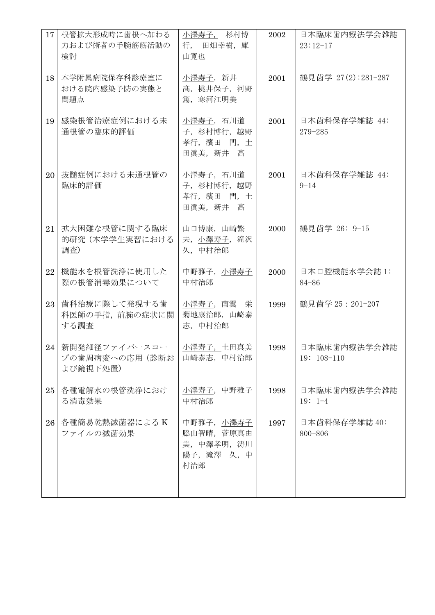| 17 | 根管拡大形成時に歯根へ加わる<br>力および術者の手腕筋筋活動の<br>検討      | 小澤寿子, 杉村博<br>行, 田畑幸樹, 庫<br>山寛也                                | 2002 | 日本臨床歯内療法学会雑誌<br>$23:12-17$   |
|----|---------------------------------------------|---------------------------------------------------------------|------|------------------------------|
| 18 | 本学附属病院保存科診療室に<br>おける院内感染予防の実態と<br>問題点       | 小澤寿子, 新井<br>髙, 桃井保子, 河野<br>篤, 寒河江明美                           | 2001 | 鶴見歯学 27(2):281-287           |
| 19 | 感染根管治療症例における未<br>通根管の臨床的評価                  | 小澤寿子, 石川道<br>子, 杉村博行, 越野<br>孝行, 濱田 門, 土<br>田眞美, 新井<br>髙       | 2001 | 日本歯科保存学雑誌 44:<br>$279 - 285$ |
| 20 | 抜髄症例における未通根管の<br>臨床的評価                      | 小澤寿子, 石川道<br>子, 杉村博行, 越野<br>孝行, 濱田 門, 土<br>田眞美, 新井<br>髙       | 2001 | 日本歯科保存学雑誌 44:<br>$9 - 14$    |
| 21 | 拡大困難な根管に関する臨床<br>的研究 (本学学生実習における<br>調査)     | 山口博康, 山崎繁<br>夫, 小澤寿子, 滝沢<br>久,中村治郎                            | 2000 | 鶴見歯学 26: 9-15                |
| 22 | 機能水を根管洗浄に使用した<br>際の根管消毒効果について               | 中野雅子, 小澤寿子<br>中村治郎                                            | 2000 | 日本口腔機能水学会誌 1:<br>$84 - 86$   |
| 23 | 歯科治療に際して発現する歯<br>科医師の手指、前腕の症状に関<br>する調査     | 小澤寿子, 南雲 栄<br>菊地康治郎, 山崎泰<br>志,中村治郎                            | 1999 | 鶴見歯学 25: 201-207             |
| 24 | 新開発細径ファイバースコー<br>プの歯周病変への応用(診断お<br>よび鏡視下処置) | 小澤寿子, 土田真美<br>山崎泰志, 中村治郎                                      | 1998 | 日本臨床歯内療法学会雑誌<br>$19:108-110$ |
| 25 | 各種電解水の根管洗浄におけ<br>る消毒効果                      | 小澤寿子, 中野雅子<br>中村治郎                                            | 1998 | 日本臨床歯内療法学会雑誌<br>$19: 1-4$    |
| 26 | 各種簡易乾熱滅菌器によるK<br>ファイルの滅菌効果                  | 中野雅子, 小澤寿子<br>脇山智晴, 菅原真由<br>美, 中澤孝明, 涛川<br>陽子, 滝澤 久, 中<br>村治郎 | 1997 | 日本歯科保存学雑誌 40:<br>800-806     |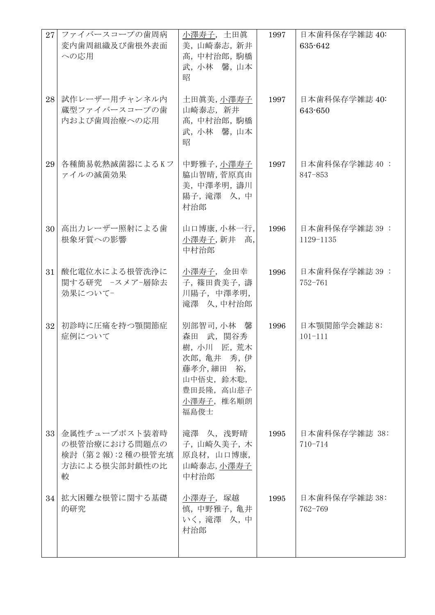| 27 | ファイバースコープの歯周病<br>変内歯周組織及び歯根外表面<br>への応用                                   | 小澤寿子, 土田眞<br>美,山崎泰志,新井<br>髙,中村治郎,駒橋<br>武,小林 馨,山本<br>昭                                                               | 1997 | 日本歯科保存学雑誌 40:<br>635-642     |
|----|--------------------------------------------------------------------------|---------------------------------------------------------------------------------------------------------------------|------|------------------------------|
| 28 | 試作レーザー用チャンネル内<br>蔵型ファイバースコープの歯<br>内および歯周治療への応用                           | 土田眞美,小澤寿子<br>山崎泰志, 新井<br>髙,中村治郎,駒橋<br>武,小林 馨,山本<br>昭                                                                | 1997 | 日本歯科保存学雑誌 40:<br>643-650     |
| 29 | 各種簡易乾熱滅菌器によるKフ<br>ァイルの滅菌効果                                               | 中野雅子,小澤寿子<br>脇山智晴, 菅原真由<br>美,中澤孝明,濤川<br>陽子, 滝澤 久, 中<br>村治郎                                                          | 1997 | 日本歯科保存学雑誌 40 :<br>847-853    |
| 30 | 高出力レーザー照射による歯<br>根象牙質への影響                                                | 山口博康,小林一行,<br>小澤寿子, 新井<br>髙,<br>中村治郎                                                                                | 1996 | 日本歯科保存学雑誌 39:<br>1129-1135   |
| 31 | 酸化電位水による根管洗浄に<br>関する研究 -スメア-層除去<br>効果についてー                               | 小澤寿子, 金田幸<br>子, 篠田貴美子, 濤<br>川陽子, 中澤孝明,<br>滝澤 久,中村治郎                                                                 | 1996 | 日本歯科保存学雑誌 39:<br>752-761     |
| 32 | 初診時に圧痛を持つ顎関節症<br>症例について                                                  | 別部智司,小林 馨<br>森田 武, 関谷秀<br>樹,小川<br>匠,荒木<br>次郎, 亀井 秀, 伊<br>藤孝介,細田 裕,<br>山中悟史, 鈴木聡,<br>豊田長隆, 高山慈子<br>小澤寿子,椎名順朗<br>福島俊士 | 1996 | 日本顎関節学会雑誌 8:<br>$101 - 111$  |
| 33 | 金属性チューブポスト装着時<br>の根管治療における問題点の<br>検討 (第2報):2種の根管充填<br>方法による根尖部封鎖性の比<br>較 | 滝澤 久, 浅野晴<br>子,山崎久美子,木<br>原良材, 山口博康,<br>山崎泰志,小澤寿子<br>中村治郎                                                           | 1995 | 日本歯科保存学雑誌 38:<br>$710 - 714$ |
| 34 | 拡大困難な根管に関する基礎<br>的研究                                                     | 小澤寿子,塚越<br>慎,中野雅子, 亀井<br>いく, 滝澤 久, 中<br>村治郎                                                                         | 1995 | 日本歯科保存学雑誌 38:<br>762-769     |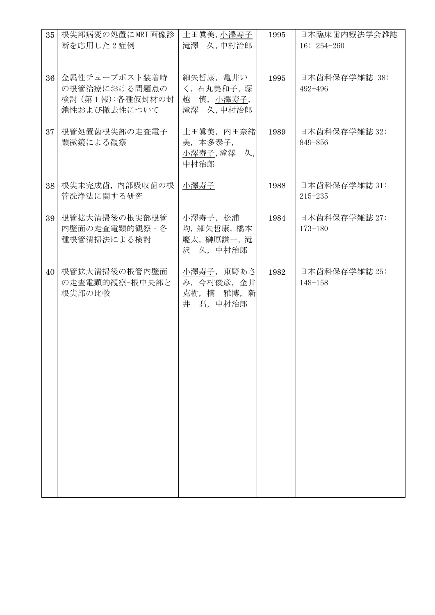| 35 | 根尖部病変の処置にMRI画像診                                                    | 土田眞美,小澤寿子                                                | 1995 | 日本臨床歯内療法学会雑誌                 |
|----|--------------------------------------------------------------------|----------------------------------------------------------|------|------------------------------|
|    | 断を応用した2症例                                                          | 滝澤 久,中村治郎                                                |      | $16: 254 - 260$              |
|    |                                                                    |                                                          |      |                              |
| 36 | 金属性チューブポスト装着時<br>の根管治療における問題点の<br>検討 (第1報):各種仮封材の封<br>鎖性および撤去性について | 細矢哲康, 亀井い<br>く,石丸美和子,塚<br>慎,小澤寿子,<br>越<br>滝澤 久,中村治郎      | 1995 | 日本歯科保存学雑誌 38:<br>492-496     |
| 37 | 根管処置歯根尖部の走査電子<br>顕微鏡による観察                                          | 土田眞美, 内田奈緒<br>美,本多泰子,<br>小澤寿子, 滝澤 久,<br>中村治郎             | 1989 | 日本歯科保存学雑誌 32:<br>849-856     |
| 38 | 根尖未完成歯, 内部吸収歯の根<br>管洗浄法に関する研究                                      | 小澤寿子                                                     | 1988 | 日本歯科保存学雑誌 31:<br>$215 - 235$ |
| 39 | 根管拡大清掃後の根尖部根管<br>内壁面の走査電顕的観察 - 各<br>種根管清掃法による検討                    | 小澤寿子, 松浦<br>均, 細矢哲康, 橋本<br>慶太, 榊原謙一, 滝<br>沢 久, 中村治郎      | 1984 | 日本歯科保存学雑誌 27:<br>$173 - 180$ |
| 40 | 根管拡大清掃後の根管内壁面<br>の走査電顕的観察-根中央部と<br>根尖部の比較                          | 小澤寿子, 東野あさ<br>み, 今村俊彦, 金井<br>克樹, 楠 雅博, 新<br>井<br>髙, 中村治郎 | 1982 | 日本歯科保存学雑誌 25:<br>$148 - 158$ |
|    |                                                                    |                                                          |      |                              |
|    |                                                                    |                                                          |      |                              |
|    |                                                                    |                                                          |      |                              |
|    |                                                                    |                                                          |      |                              |
|    |                                                                    |                                                          |      |                              |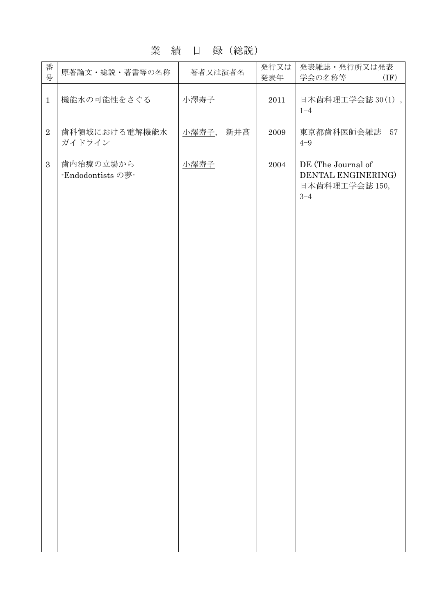#### 業 績 目 録(総説)

| 番<br>号         | 原著論文・総説・著書等の名称                 | 著者又は演者名      | 発行又は<br>発表年 | 発表雑誌・発行所又は発表<br>学会の名称等<br>(IF)                                        |
|----------------|--------------------------------|--------------|-------------|-----------------------------------------------------------------------|
| $\mathbf{1}$   | 機能水の可能性をさぐる                    | 小澤寿子         | 2011        | 日本歯科理工学会誌 30(1),<br>$1 - 4$                                           |
| $\overline{2}$ | 歯科領域における電解機能水<br>ガイドライン        | 小澤寿子,<br>新井髙 | 2009        | 東京都歯科医師会雑誌<br>57<br>$4 - 9$                                           |
| $\overline{3}$ | 歯内治療の立場から<br>·Endodontists の夢· | 小澤寿子         | 2004        | DE (The Journal of<br>DENTAL ENGINERING)<br>日本歯科理工学会誌 150,<br>$3 - 4$ |
|                |                                |              |             |                                                                       |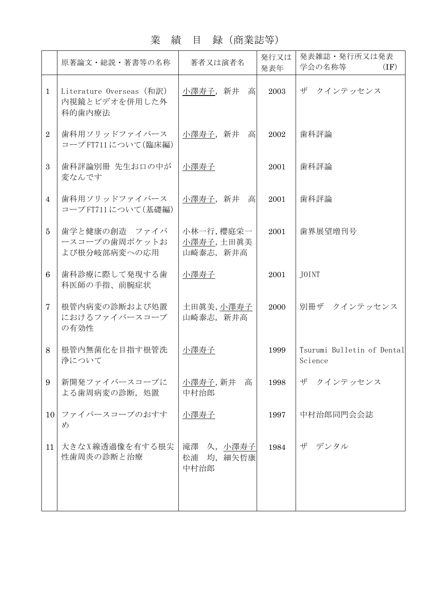# 業 績 目 録(商業誌等)

| Literature Overseas (和訳)<br>小澤寿子, 新井 高<br>内視鏡とビデオを併用した外<br>歯科用ソリッドファイバース<br>小澤寿子,新井<br>高<br>コープFT711について(臨床編)<br>歯科評論別冊 先生お口の中が<br>小澤寿子<br>歯科用ソリッドファイバース<br>小澤寿子,新井<br>高 | 2003<br>2002<br>2001                                                                                                                                                        | ザ クインテッセンス<br>歯科評論<br>歯科評論            |
|--------------------------------------------------------------------------------------------------------------------------------------------------------------------------|-----------------------------------------------------------------------------------------------------------------------------------------------------------------------------|---------------------------------------|
|                                                                                                                                                                          |                                                                                                                                                                             |                                       |
|                                                                                                                                                                          |                                                                                                                                                                             |                                       |
|                                                                                                                                                                          |                                                                                                                                                                             |                                       |
|                                                                                                                                                                          | 2001                                                                                                                                                                        | 歯科評論                                  |
| 小林一行, 櫻庭栄一<br>小澤寿子,土田眞美<br>山崎泰志, 新井高                                                                                                                                     | 2001                                                                                                                                                                        | 歯界展望増刊号                               |
| 小澤寿子                                                                                                                                                                     | 2001                                                                                                                                                                        | JOINT                                 |
| 土田眞美,小澤寿子<br>山崎泰志, 新井高                                                                                                                                                   | 2000                                                                                                                                                                        | 別冊ザ クインテッセンス                          |
| 小澤寿子                                                                                                                                                                     | 1999                                                                                                                                                                        | Tsurumi Bulletin of Dental<br>Science |
| 小澤寿子, 新井<br>高<br>中村治郎                                                                                                                                                    | 1998                                                                                                                                                                        | ザ<br>クインテッセンス                         |
| 小澤寿子                                                                                                                                                                     | 1997                                                                                                                                                                        | 中村治郎同門会会誌                             |
| 松浦<br>中村治郎                                                                                                                                                               | 1984                                                                                                                                                                        | ザ デンタル                                |
|                                                                                                                                                                          | コープFT711について(基礎編)<br>歯学と健康の創造 ファイバ<br>ースコープの歯周ポケットお<br>歯科診療に際して発現する歯<br>根管内病変の診断および処置<br>におけるファイバースコープ<br>根管内無菌化を目指す根管洗<br>新開発ファイバースコープに<br>ファイバースコープのおすす<br>大きなX線透過像を有する根尖 | 滝澤 久, 小澤寿子<br>均, 細矢哲康                 |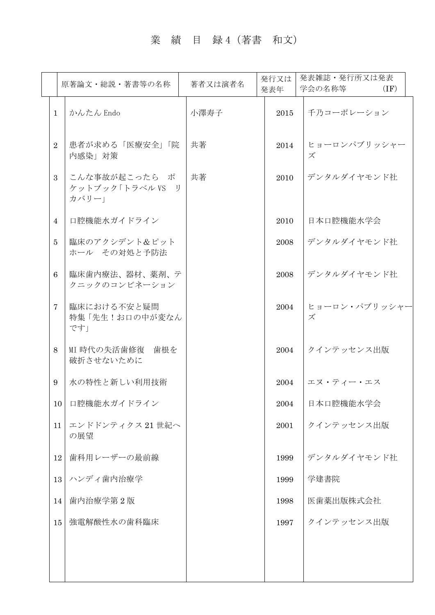# 業 績 目 録 4 (著書 和文)

|                | 原著論文・総説・著書等の名称                             | 著者又は演者名 | 発行又は<br>発表年 | 発表雑誌・発行所又は発表<br>学会の名称等<br>(IF) |
|----------------|--------------------------------------------|---------|-------------|--------------------------------|
| $\mathbf{1}$   | かんたん Endo                                  | 小澤寿子    | 2015        | 千乃コーポレーション                     |
| $\overline{2}$ | 患者が求める「医療安全」「院<br>内感染」対策                   | 共著      | 2014        | ヒョーロンパブリッシャー<br>ズ              |
| 3              | こんな事故が起こったら ポ<br>ケットブック「トラベル VS リ<br>カバリー」 | 共著      | 2010        | デンタルダイヤモンド社                    |
| $\overline{4}$ | 口腔機能水ガイドライン                                |         | 2010        | 日本口腔機能水学会                      |
| 5              | 臨床のアクシデント&ピット<br>ホール その対処と予防法              |         | 2008        | デンタルダイヤモンド社                    |
| 6              | 臨床歯内療法、器材、薬剤、テ<br>クニックのコンビネーション            |         | 2008        | デンタルダイヤモンド社                    |
| $\tau$         | 臨床における不安と疑問<br>特集「先生!お口の中が変なん<br>です」       |         | 2004        | ヒョーロン・パブリッシャー<br>ズ             |
| 8              | MI 時代の失活歯修復 歯根を<br>破折させないために               |         | 2004        | クインテッセンス出版                     |
| 9              | 水の特性と新しい利用技術                               |         | 2004        | エヌ・ティー・エス                      |
|                | 口腔機能水ガイドライン<br>10                          |         | 2004        | 日本口腔機能水学会                      |
| 11             | エンドドンティクス 21世紀へ<br>の展望                     |         | 2001        | クインテッセンス出版                     |
| 12             | 歯科用レーザーの最前線                                |         | 1999        | デンタルダイヤモンド社                    |
|                | ハンディ歯内治療学<br>13                            |         | 1999        | 学建書院                           |
| 14             | 歯内治療学第2版                                   |         | 1998        | 医歯薬出版株式会社                      |
|                | 強電解酸性水の歯科臨床<br>15                          |         | 1997        | クインテッセンス出版                     |
|                |                                            |         |             |                                |
|                |                                            |         |             |                                |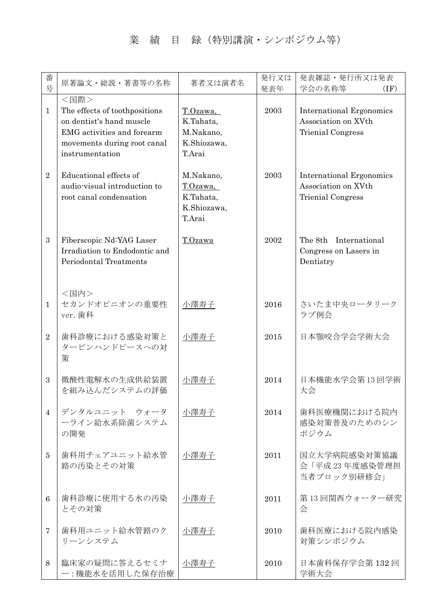### 業 績 目 録 (特別講演・シンポジウム等)

| 番<br>号         | 原著論文・総説・著書等の名称                                                                                                                                    | 著者又は演者名                                                     | 発行又は<br>発表年 | 発表雑誌・発行所又は発表<br>学会の名称等<br>(IF)                                              |
|----------------|---------------------------------------------------------------------------------------------------------------------------------------------------|-------------------------------------------------------------|-------------|-----------------------------------------------------------------------------|
| $\mathbf{1}$   | <国際><br>The effects of toothpositions<br>on dentist's hand muscle<br>EMG activities and forearm<br>movements during root canal<br>instrumentation | T.Ozawa,<br>K.Tahata,<br>M.Nakano,<br>K.Shiozawa,<br>T.Arai | 2003        | <b>International Ergonomics</b><br>Association on XVth<br>Trienial Congress |
| $\overline{2}$ | Educational effects of<br>audio-visual introduction to<br>root canal condensation                                                                 | M.Nakano,<br>T.Ozawa,<br>K.Tahata,<br>K.Shiozawa,<br>T.Arai | 2003        | <b>International Ergonomics</b><br>Association on XVth<br>Trienial Congress |
| 3              | Fiberscopic Nd:YAG Laser<br>Irradiation to Endodontic and<br><b>Periodontal Treatments</b>                                                        | T.Ozawa                                                     | 2002        | The 8th<br>International<br>Congress on Lasers in<br>Dentistry              |
| $\mathbf{1}$   | <国内><br>セカンドオピニオンの重要性<br>ver. 歯科                                                                                                                  | 小澤寿子                                                        | 2016        | さいたま中央ロータリーク<br>ラブ例会                                                        |
| $\overline{2}$ | 歯科診療における感染対策と<br>タービンハンドピースへの対<br>策                                                                                                               | 小澤寿子                                                        | 2015        | 日本顎咬合学会学術大会                                                                 |
| 3              | 微酸性電解水の生成供給装置<br>を組み込んだシステムの評価                                                                                                                    | 小澤寿子                                                        | 2014        | 日本機能水学会第13回学術<br>大会                                                         |
| $\overline{4}$ | デンタルユニット ウォータ<br>ーライン給水系除菌システム<br>の開発                                                                                                             | 小澤寿子                                                        | 2014        | 歯科医療機関における院内<br>感染対策普及のためのシン<br>ポジウム                                        |
| 5              | 歯科用チェアユニット給水管<br>路の汚染とその対策                                                                                                                        | 小澤寿子                                                        | 2011        | 国立大学病院感染対策協議<br>会「平成23年度感染管理担<br>当者ブロック別研修会」                                |
| 6              | 歯科診療に使用する水の汚染<br>とその対策                                                                                                                            | 小澤寿子                                                        | 2011        | 第13回関西ウォーター研究<br>会                                                          |
| 7              | 歯科用ユニット給水管路のク<br>リーンシステム                                                                                                                          | 小澤寿子                                                        | 2010        | 歯科医療における院内感染<br>対策シンポジウム                                                    |
| 8              | 臨床家の疑問に答えるセミナ<br>ー:機能水を活用した保存治療                                                                                                                   | 小澤寿子                                                        | 2010        | 日本歯科保存学会第132回<br>学術大会                                                       |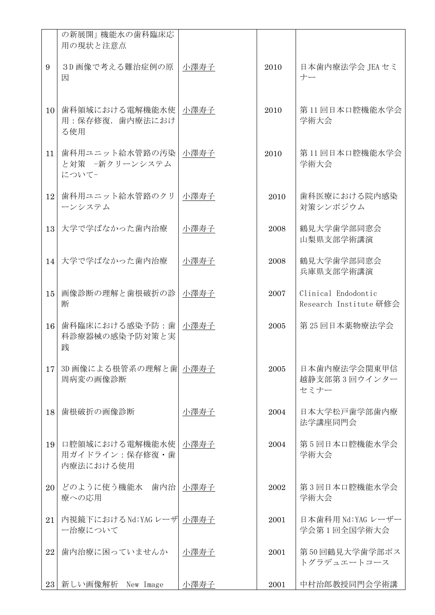|    | の新展開  機能水の歯科臨床応<br>用の現状と注意点                    |      |      |                                               |
|----|------------------------------------------------|------|------|-----------------------------------------------|
| 9  | 3D画像で考える難治症例の原<br>因                            | 小澤寿子 | 2010 | 日本歯内療法学会 JEA セミ<br>ナー                         |
| 10 | 歯科領域における電解機能水使<br>用:保存修復. 歯内療法におけ<br>る使用       | 小澤寿子 | 2010 | 第11回日本口腔機能水学会<br>学術大会                         |
| 11 | 歯科用ユニット給水管路の汚染<br>と対策 -新クリーンシステム<br>について-      | 小澤寿子 | 2010 | 第11回日本口腔機能水学会<br>学術大会                         |
| 12 | 歯科用ユニット給水管路のクリ<br>ーンシステム                       | 小澤寿子 | 2010 | 歯科医療における院内感染<br>対策シンポジウム                      |
| 13 | 大学で学ばなかった歯内治療                                  | 小澤寿子 | 2008 | 鶴見大学歯学部同窓会<br>山梨県支部学術講演                       |
| 14 | 大学で学ばなかった歯内治療                                  | 小澤寿子 | 2008 | 鶴見大学歯学部同窓会<br>兵庫県支部学術講演                       |
| 15 | 画像診断の理解と歯根破折の診<br>断                            | 小澤寿子 | 2007 | Clinical Endodontic<br>Research Institute 研修会 |
| 16 | 歯科臨床における感染予防:歯<br>科診療器械の感染予防対策と実<br>践          | 小澤寿子 | 2005 | 第25回日本薬物療法学会                                  |
| 17 | 3D 画像による根管系の理解と歯 小澤寿子<br>周病変の画像診断              |      | 2005 | 日本歯内療法学会関東甲信<br>越静支部第3回ウインター<br>セミナー          |
| 18 | 歯根破折の画像診断                                      | 小澤寿子 | 2004 | 日本大学松戸歯学部歯内療<br>法学講座同門会                       |
| 19 | 口腔領域における電解機能水使<br>用ガイドライン: 保存修復・歯<br>内療法における使用 | 小澤寿子 | 2004 | 第5回日本口腔機能水学会<br>学術大会                          |
| 20 | どのように使う機能水 歯内治<br>療への応用                        | 小澤寿子 | 2002 | 第3回日本口腔機能水学会<br>学術大会                          |
| 21 | 内視鏡下におけるNd:YAGレーザ  小澤寿子<br>ー治療について             |      | 2001 | 日本歯科用 Nd:YAG レーザー<br>学会第1回全国学術大会              |
| 22 | 歯内治療に困っていませんか                                  | 小澤寿子 | 2001 | 第50回鶴見大学歯学部ポス<br>トグラデュエートコース                  |
|    | 23 新しい画像解析 New Image                           | 小澤寿子 | 2001 | 中村治郎教授同門会学術講                                  |